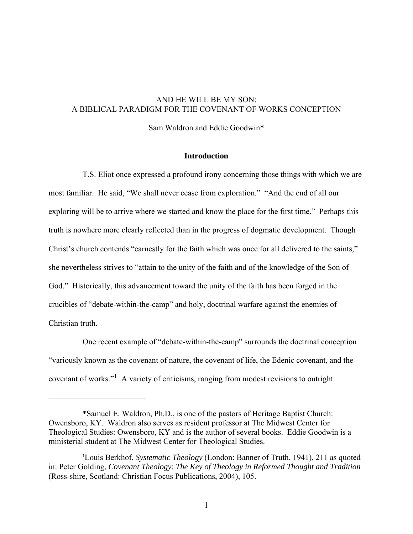# AND HE WILL BE MY SON: A BIBLICAL PARADIGM FOR THE COVENANT OF WORKS CONCEPTION

Sam Waldron and Eddie Goodwin**\***

## **Introduction**

 T.S. Eliot once expressed a profound irony concerning those things with which we are most familiar. He said, "We shall never cease from exploration." "And the end of all our exploring will be to arrive where we started and know the place for the first time." Perhaps this truth is nowhere more clearly reflected than in the progress of dogmatic development. Though Christ's church contends "earnestly for the faith which was once for all delivered to the saints," she nevertheless strives to "attain to the unity of the faith and of the knowledge of the Son of God." Historically, this advancement toward the unity of the faith has been forged in the crucibles of "debate-within-the-camp" and holy, doctrinal warfare against the enemies of Christian truth.

 One recent example of "debate-within-the-camp" surrounds the doctrinal conception "variously known as the covenant of nature, the covenant of life, the Edenic covenant, and the covenant of works."<sup>[1](#page-0-0)</sup> A variety of criticisms, ranging from modest revisions to outright

<span id="page-0-0"></span>**<sup>\*</sup>**Samuel E. Waldron, Ph.D., is one of the pastors of Heritage Baptist Church: Owensboro, KY. Waldron also serves as resident professor at The Midwest Center for Theological Studies: Owensboro, KY and is the author of several books. Eddie Goodwin is a ministerial student at The Midwest Center for Theological Studies.

<sup>1</sup> Louis Berkhof, *Systematic Theology* (London: Banner of Truth, 1941), 211 as quoted in: Peter Golding, *Covenant Theology*: *The Key of Theology in Reformed Thought and Tradition* (Ross-shire, Scotland: Christian Focus Publications, 2004), 105.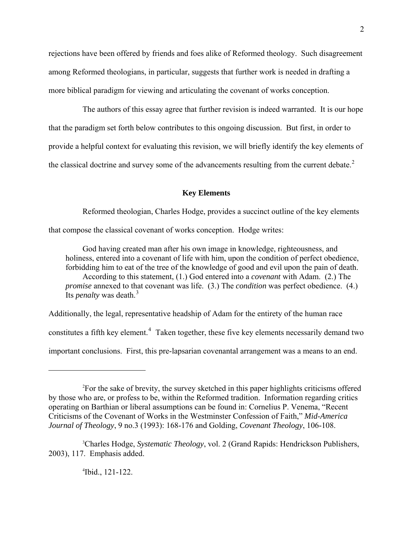rejections have been offered by friends and foes alike of Reformed theology. Such disagreement among Reformed theologians, in particular, suggests that further work is needed in drafting a more biblical paradigm for viewing and articulating the covenant of works conception.

The authors of this essay agree that further revision is indeed warranted. It is our hope that the paradigm set forth below contributes to this ongoing discussion. But first, in order to provide a helpful context for evaluating this revision, we will briefly identify the key elements of the classical doctrine and survey some of the advancements resulting from the current debate.<sup>[2](#page-1-0)</sup>

# **Key Elements**

Reformed theologian, Charles Hodge, provides a succinct outline of the key elements

that compose the classical covenant of works conception. Hodge writes:

 God having created man after his own image in knowledge, righteousness, and holiness, entered into a covenant of life with him, upon the condition of perfect obedience, forbidding him to eat of the tree of the knowledge of good and evil upon the pain of death. According to this statement, (1.) God entered into a *covenant* with Adam. (2.) The *promise* annexed to that covenant was life. (3.) The *condition* was perfect obedience. (4.) Its *penalty* was death.<sup>[3](#page-1-1)</sup>

Additionally, the legal, representative headship of Adam for the entirety of the human race constitutes a fifth key element. $4$  Taken together, these five key elements necessarily demand two important conclusions. First, this pre-lapsarian covenantal arrangement was a means to an end.

4 Ibid., 121-122.

<span id="page-1-0"></span> <sup>2</sup> For the sake of brevity, the survey sketched in this paper highlights criticisms offered by those who are, or profess to be, within the Reformed tradition. Information regarding critics operating on Barthian or liberal assumptions can be found in: Cornelius P. Venema, "Recent Criticisms of the Covenant of Works in the Westminster Confession of Faith," *Mid*-*America Journal of Theology*, 9 no.3 (1993): 168-176 and Golding, *Covenant Theology*, 106-108.

<span id="page-1-2"></span><span id="page-1-1"></span><sup>3</sup> Charles Hodge, *Systematic Theology*, vol. 2 (Grand Rapids: Hendrickson Publishers, 2003), 117. Emphasis added.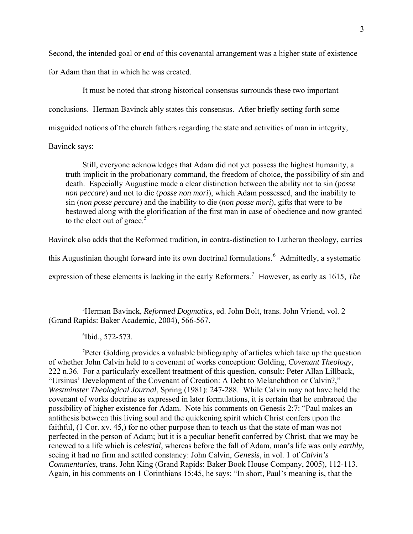Second, the intended goal or end of this covenantal arrangement was a higher state of existence for Adam than that in which he was created.

 It must be noted that strong historical consensus surrounds these two important conclusions. Herman Bavinck ably states this consensus. After briefly setting forth some misguided notions of the church fathers regarding the state and activities of man in integrity,

## Bavinck says:

 $\overline{a}$ 

 Still, everyone acknowledges that Adam did not yet possess the highest humanity, a truth implicit in the probationary command, the freedom of choice, the possibility of sin and death. Especially Augustine made a clear distinction between the ability not to sin (*posse non peccare*) and not to die (*posse non mori*), which Adam possessed, and the inability to sin (*non posse peccare*) and the inability to die (*non posse mori*), gifts that were to be bestowed along with the glorification of the first man in case of obedience and now granted to the elect out of grace.<sup>[5](#page-2-0)</sup>

Bavinck also adds that the Reformed tradition, in contra-distinction to Lutheran theology, carries

this Augustinian thought forward into its own doctrinal formulations.<sup>[6](#page-2-1)</sup> Admittedly, a systematic

expression of these elements is lacking in the early Reformers.<sup>[7](#page-2-2)</sup> However, as early as 1615, *The* 

<span id="page-2-0"></span>5 Herman Bavinck, *Reformed Dogmatics*, ed. John Bolt, trans. John Vriend, vol. 2 (Grand Rapids: Baker Academic, 2004), 566-567.

6 Ibid., 572-573.

<span id="page-2-2"></span><span id="page-2-1"></span>7 Peter Golding provides a valuable bibliography of articles which take up the question of whether John Calvin held to a covenant of works conception: Golding, *Covenant Theology*, 222 n.36. For a particularly excellent treatment of this question, consult: Peter Allan Lillback, "Ursinus' Development of the Covenant of Creation: A Debt to Melanchthon or Calvin?," *Westminster Theological Journal*, Spring (1981): 247-288. While Calvin may not have held the covenant of works doctrine as expressed in later formulations, it is certain that he embraced the possibility of higher existence for Adam. Note his comments on Genesis 2:7: "Paul makes an antithesis between this living soul and the quickening spirit which Christ confers upon the faithful, (1 Cor. xv. 45,) for no other purpose than to teach us that the state of man was not perfected in the person of Adam; but it is a peculiar benefit conferred by Christ, that we may be renewed to a life which is *celestial*, whereas before the fall of Adam, man's life was only *earthly*, seeing it had no firm and settled constancy: John Calvin, *Genesis*, in vol. 1 of *Calvin's Commentaries*, trans. John King (Grand Rapids: Baker Book House Company, 2005), 112-113. Again, in his comments on 1 Corinthians 15:45, he says: "In short, Paul's meaning is, that the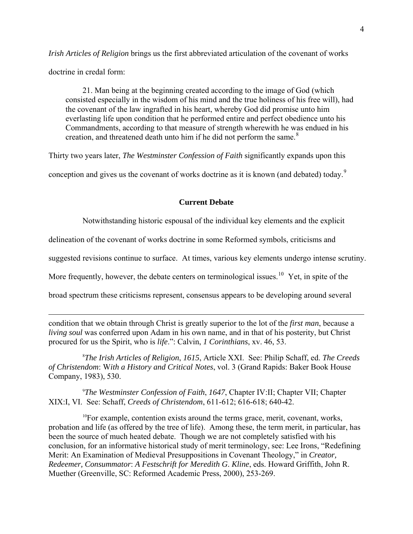*Irish Articles of Religion* brings us the first abbreviated articulation of the covenant of works doctrine in credal form:

 21. Man being at the beginning created according to the image of God (which consisted especially in the wisdom of his mind and the true holiness of his free will), had the covenant of the law ingrafted in his heart, whereby God did promise unto him everlasting life upon condition that he performed entire and perfect obedience unto his Commandments, according to that measure of strength wherewith he was endued in his creation, and threatened death unto him if he did not perform the same.<sup>[8](#page-3-0)</sup>

Thirty two years later, *The Westminster Confession of Faith* significantly expands upon this

conception and gives us the covenant of works doctrine as it is known (and debated) today.<sup>[9](#page-3-1)</sup>

#### **Current Debate**

Notwithstanding historic espousal of the individual key elements and the explicit

delineation of the covenant of works doctrine in some Reformed symbols, criticisms and

suggested revisions continue to surface. At times, various key elements undergo intense scrutiny.

More frequently, however, the debate centers on terminological issues.<sup>[10](#page-3-2)</sup> Yet, in spite of the

broad spectrum these criticisms represent, consensus appears to be developing around several

 $\overline{a}$ 

condition that we obtain through Christ is greatly superior to the lot of the *first man*, because a *living soul* was conferred upon Adam in his own name, and in that of his posterity, but Christ procured for us the Spirit, who is *life*.": Calvin, *1 Corinthians*, xv. 46, 53.

<span id="page-3-0"></span>8 *The Irish Articles of Religion*, *1615*, Article XXI. See: Philip Schaff, ed. *The Creeds of Christendom*: W*ith a History and Critical Notes*, vol. 3 (Grand Rapids: Baker Book House Company, 1983), 530.

<span id="page-3-1"></span>9 *The Westminster Confession of Faith*, *1647*, Chapter IV:II; Chapter VII; Chapter XIX:I, VI. See: Schaff, *Creeds of Christendom*, 611-612; 616-618; 640-42.

<span id="page-3-2"></span><sup>10</sup>For example, contention exists around the terms grace, merit, covenant, works, probation and life (as offered by the tree of life). Among these, the term merit, in particular, has been the source of much heated debate. Though we are not completely satisfied with his conclusion, for an informative historical study of merit terminology, see: Lee Irons, "Redefining Merit: An Examination of Medieval Presuppositions in Covenant Theology," in *Creator, Redeemer, Consummator*: *A Festschrift for Meredith G*. *Kline*, eds. Howard Griffith, John R. Muether (Greenville, SC: Reformed Academic Press, 2000), 253-269.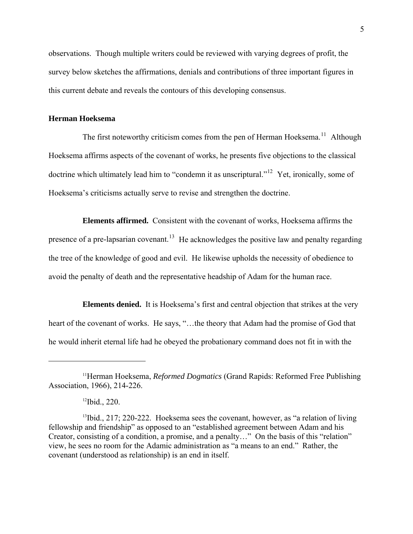observations. Though multiple writers could be reviewed with varying degrees of profit, the survey below sketches the affirmations, denials and contributions of three important figures in this current debate and reveals the contours of this developing consensus.

# **Herman Hoeksema**

The first noteworthy criticism comes from the pen of Herman Hoeksema.<sup>[11](#page-4-0)</sup> Although Hoeksema affirms aspects of the covenant of works, he presents five objections to the classical doctrine which ultimately lead him to "condemn it as unscriptural."<sup>[12](#page-4-1)</sup> Yet, ironically, some of Hoeksema's criticisms actually serve to revise and strengthen the doctrine.

 **Elements affirmed.** Consistent with the covenant of works, Hoeksema affirms the presence of a pre-lapsarian covenant.<sup>[13](#page-4-2)</sup> He acknowledges the positive law and penalty regarding the tree of the knowledge of good and evil. He likewise upholds the necessity of obedience to avoid the penalty of death and the representative headship of Adam for the human race.

 **Elements denied.** It is Hoeksema's first and central objection that strikes at the very heart of the covenant of works. He says, "…the theory that Adam had the promise of God that he would inherit eternal life had he obeyed the probationary command does not fit in with the

<span id="page-4-0"></span><sup>11</sup>Herman Hoeksema, *Reformed Dogmatics* (Grand Rapids: Reformed Free Publishing Association, 1966), 214-226.

<sup>12</sup>Ibid., 220.

<span id="page-4-2"></span><span id="page-4-1"></span><sup>&</sup>lt;sup>13</sup>Ibid., 217; 220-222. Hoeksema sees the covenant, however, as "a relation of living fellowship and friendship" as opposed to an "established agreement between Adam and his Creator, consisting of a condition, a promise, and a penalty…" On the basis of this "relation" view, he sees no room for the Adamic administration as "a means to an end." Rather, the covenant (understood as relationship) is an end in itself.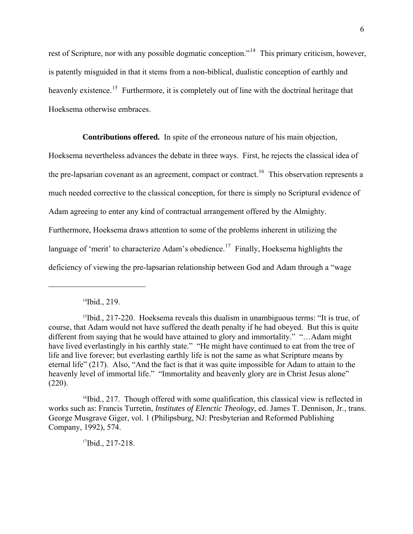rest of Scripture, nor with any possible dogmatic conception."[14](#page-5-0) This primary criticism, however, is patently misguided in that it stems from a non-biblical, dualistic conception of earthly and heavenly existence.<sup>[15](#page-5-1)</sup> Furthermore, it is completely out of line with the doctrinal heritage that Hoeksema otherwise embraces.

**Contributions offered.** In spite of the erroneous nature of his main objection,

Hoeksema nevertheless advances the debate in three ways. First, he rejects the classical idea of the pre-lapsarian covenant as an agreement, compact or contract.<sup>[16](#page-5-2)</sup> This observation represents a much needed corrective to the classical conception, for there is simply no Scriptural evidence of Adam agreeing to enter any kind of contractual arrangement offered by the Almighty. Furthermore, Hoeksema draws attention to some of the problems inherent in utilizing the language of 'merit' to characterize Adam's obedience.<sup>[17](#page-5-3)</sup> Finally, Hoeksema highlights the deficiency of viewing the pre-lapsarian relationship between God and Adam through a "wage

 $\overline{a}$ 

 $17$ Ibid., 217-218.

<sup>14</sup>Ibid., 219.

<span id="page-5-1"></span><span id="page-5-0"></span> $15$ Ibid., 217-220. Hoeksema reveals this dualism in unambiguous terms: "It is true, of course, that Adam would not have suffered the death penalty if he had obeyed. But this is quite different from saying that he would have attained to glory and immortality." "…Adam might have lived everlastingly in his earthly state." "He might have continued to eat from the tree of life and live forever; but everlasting earthly life is not the same as what Scripture means by eternal life" (217). Also, "And the fact is that it was quite impossible for Adam to attain to the heavenly level of immortal life." "Immortality and heavenly glory are in Christ Jesus alone"  $(220)$ .

<span id="page-5-3"></span><span id="page-5-2"></span> $16$ Ibid., 217. Though offered with some qualification, this classical view is reflected in works such as: Francis Turretin, *Institutes of Elenctic Theology*, ed. James T. Dennison, Jr., trans. George Musgrave Giger, vol. 1 (Philipsburg, NJ: Presbyterian and Reformed Publishing Company, 1992), 574.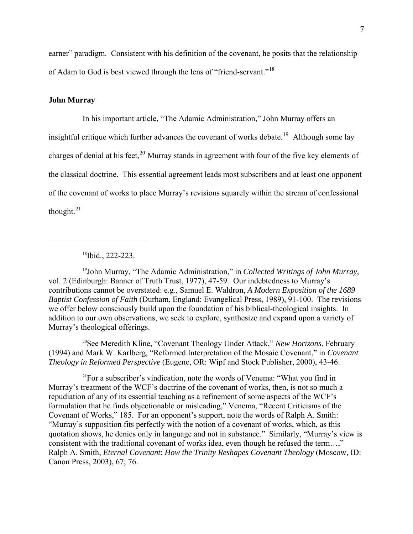earner" paradigm. Consistent with his definition of the covenant, he posits that the relationship of Adam to God is best viewed through the lens of "friend-servant."[18](#page-6-0)

# **John Murray**

 $\overline{a}$ 

In his important article, "The Adamic Administration," John Murray offers an insightful critique which further advances the covenant of works debate.<sup>[19](#page-6-1)</sup> Although some lay charges of denial at his feet, $^{20}$  $^{20}$  $^{20}$  Murray stands in agreement with four of the five key elements of the classical doctrine. This essential agreement leads most subscribers and at least one opponent of the covenant of works to place Murray's revisions squarely within the stream of confessional thought. $^{21}$  $^{21}$  $^{21}$ 

<sup>18</sup>Ibid., 222-223.

<span id="page-6-1"></span><span id="page-6-0"></span>19John Murray, "The Adamic Administration," in *Collected Writings of John Murray*, vol. 2 (Edinburgh: Banner of Truth Trust, 1977), 47-59. Our indebtedness to Murray's contributions cannot be overstated: e.g., Samuel E. Waldron, *A Modern Exposition of the 1689 Baptist Confession of Faith* (Durham, England: Evangelical Press, 1989), 91-100. The revisions we offer below consciously build upon the foundation of his biblical-theological insights. In addition to our own observations, we seek to explore, synthesize and expand upon a variety of Murray's theological offerings.

<span id="page-6-2"></span>20See Meredith Kline, "Covenant Theology Under Attack," *New Horizons*, February (1994) and Mark W. Karlberg, "Reformed Interpretation of the Mosaic Covenant," in *Covenant Theology in Reformed Perspective* (Eugene, OR: Wipf and Stock Publisher, 2000), 43-46.

<span id="page-6-3"></span>21For a subscriber's vindication, note the words of Venema: "What you find in Murray's treatment of the WCF's doctrine of the covenant of works, then, is not so much a repudiation of any of its essential teaching as a refinement of some aspects of the WCF's formulation that he finds objectionable or misleading," Venema, "Recent Criticisms of the Covenant of Works," 185. For an opponent's support, note the words of Ralph A. Smith: "Murray's supposition fits perfectly with the notion of a covenant of works, which, as this quotation shows, he denies only in language and not in substance." Similarly, "Murray's view is consistent with the traditional covenant of works idea, even though he refused the term…," Ralph A. Smith, *Eternal Covenant*: *How the Trinity Reshapes Covenant Theology* (Moscow, ID: Canon Press, 2003), 67; 76.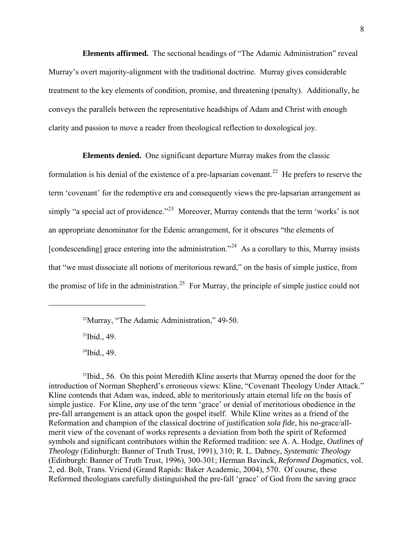**Elements affirmed.** The sectional headings of "The Adamic Administration" reveal Murray's overt majority-alignment with the traditional doctrine. Murray gives considerable treatment to the key elements of condition, promise, and threatening (penalty). Additionally, he conveys the parallels between the representative headships of Adam and Christ with enough clarity and passion to move a reader from theological reflection to doxological joy.

**Elements denied.** One significant departure Murray makes from the classic

formulation is his denial of the existence of a pre-lapsarian covenant.<sup>[22](#page-7-0)</sup> He prefers to reserve the term 'covenant' for the redemptive era and consequently views the pre-lapsarian arrangement as simply "a special act of providence."<sup>[23](#page-7-1)</sup> Moreover, Murray contends that the term 'works' is not an appropriate denominator for the Edenic arrangement, for it obscures "the elements of [condescending] grace entering into the administration."<sup>[24](#page-7-2)</sup> As a corollary to this, Murray insists that "we must dissociate all notions of meritorious reward," on the basis of simple justice, from the promise of life in the administration.<sup>[25](#page-7-3)</sup> For Murray, the principle of simple justice could not

22Murray, "The Adamic Administration," 49-50.

 $23$ Ibid., 49.

<span id="page-7-1"></span><span id="page-7-0"></span> $\overline{a}$ 

 $24$ Ibid., 49.

<span id="page-7-3"></span><span id="page-7-2"></span> $25$ Ibid., 56. On this point Meredith Kline asserts that Murray opened the door for the introduction of Norman Shepherd's erroneous views: Kline, "Covenant Theology Under Attack." Kline contends that Adam was, indeed, able to meritoriously attain eternal life on the basis of simple justice. For Kline, *any* use of the term 'grace' or denial of meritorious obedience in the pre-fall arrangement is an attack upon the gospel itself. While Kline writes as a friend of the Reformation and champion of the classical doctrine of justification *sola fide*, his no-grace/allmerit view of the covenant of works represents a deviation from both the spirit of Reformed symbols and significant contributors within the Reformed tradition: see A. A. Hodge, *Outlines of Theology* (Edinburgh: Banner of Truth Trust, 1991), 310; R. L. Dabney, *Systematic Theology* (Edinburgh: Banner of Truth Trust, 1996), 300-301; Herman Bavinck, *Reformed Dogmatics*, vol. 2, ed. Bolt, Trans. Vriend (Grand Rapids: Baker Academic, 2004), 570. Of course, these Reformed theologians carefully distinguished the pre-fall 'grace' of God from the saving grace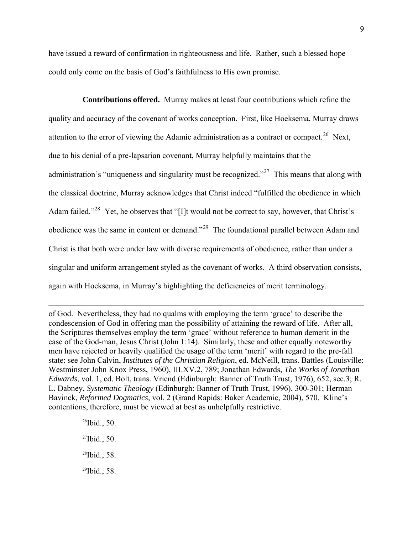have issued a reward of confirmation in righteousness and life. Rather, such a blessed hope could only come on the basis of God's faithfulness to His own promise.

**Contributions offered.** Murray makes at least four contributions which refine the quality and accuracy of the covenant of works conception. First, like Hoeksema, Murray draws attention to the error of viewing the Adamic administration as a contract or compact.<sup>[26](#page-8-0)</sup> Next, due to his denial of a pre-lapsarian covenant, Murray helpfully maintains that the administration's "uniqueness and singularity must be recognized."<sup>[27](#page-8-1)</sup> This means that along with the classical doctrine, Murray acknowledges that Christ indeed "fulfilled the obedience in which Adam failed."<sup>[28](#page-8-2)</sup> Yet, he observes that "[I]t would not be correct to say, however, that Christ's obedience was the same in content or demand."[29](#page-8-3) The foundational parallel between Adam and Christ is that both were under law with diverse requirements of obedience, rather than under a singular and uniform arrangement styled as the covenant of works. A third observation consists, again with Hoeksema, in Murray's highlighting the deficiencies of merit terminology.

of God. Nevertheless, they had no qualms with employing the term 'grace' to describe the condescension of God in offering man the possibility of attaining the reward of life. After all, the Scriptures themselves employ the term 'grace' without reference to human demerit in the case of the God-man, Jesus Christ (John 1:14). Similarly, these and other equally noteworthy men have rejected or heavily qualified the usage of the term 'merit' with regard to the pre-fall state: see John Calvin, *Institutes of the Christian Religion*, ed. McNeill, trans. Battles (Louisville: Westminster John Knox Press, 1960), III.XV.2, 789; Jonathan Edwards, *The Works of Jonathan Edwards*, vol. 1, ed. Bolt, trans. Vriend (Edinburgh: Banner of Truth Trust, 1976), 652, sec.3; R. L. Dabney, *Systematic Theology* (Edinburgh: Banner of Truth Trust, 1996), 300-301; Herman Bavinck, *Reformed Dogmatics*, vol. 2 (Grand Rapids: Baker Academic, 2004), 570. Kline's contentions, therefore, must be viewed at best as unhelpfully restrictive.

> <span id="page-8-3"></span><span id="page-8-2"></span><span id="page-8-1"></span><span id="page-8-0"></span>Ibid., 50. Ibid., 50. Ibid., 58. Ibid., 58.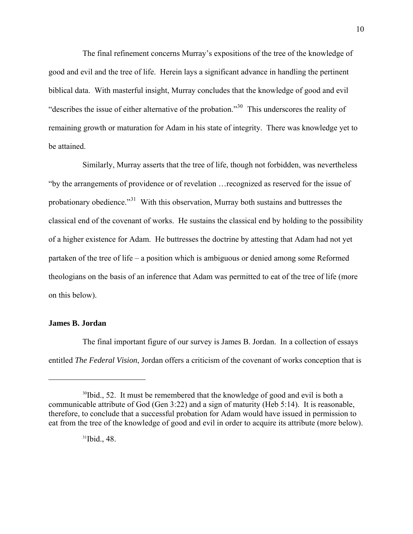The final refinement concerns Murray's expositions of the tree of the knowledge of good and evil and the tree of life. Herein lays a significant advance in handling the pertinent biblical data. With masterful insight, Murray concludes that the knowledge of good and evil "describes the issue of either alternative of the probation."[30](#page-9-0) This underscores the reality of remaining growth or maturation for Adam in his state of integrity. There was knowledge yet to be attained.

 Similarly, Murray asserts that the tree of life, though not forbidden, was nevertheless "by the arrangements of providence or of revelation …recognized as reserved for the issue of probationary obedience."[31](#page-9-1) With this observation, Murray both sustains and buttresses the classical end of the covenant of works. He sustains the classical end by holding to the possibility of a higher existence for Adam. He buttresses the doctrine by attesting that Adam had not yet partaken of the tree of life – a position which is ambiguous or denied among some Reformed theologians on the basis of an inference that Adam was permitted to eat of the tree of life (more on this below).

## **James B. Jordan**

 $\overline{a}$ 

 The final important figure of our survey is James B. Jordan. In a collection of essays entitled *The Federal Vision*, Jordan offers a criticism of the covenant of works conception that is

<span id="page-9-1"></span><span id="page-9-0"></span><sup>&</sup>lt;sup>30</sup>Ibid., 52. It must be remembered that the knowledge of good and evil is both a communicable attribute of God (Gen 3:22) and a sign of maturity (Heb 5:14). It is reasonable, therefore, to conclude that a successful probation for Adam would have issued in permission to eat from the tree of the knowledge of good and evil in order to acquire its attribute (more below).

 $31$ Ibid., 48.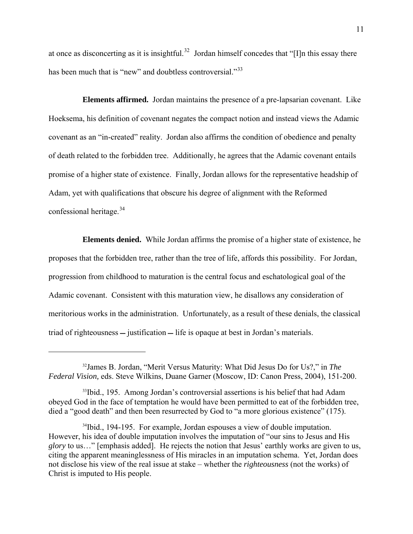at once as disconcerting as it is insightful.<sup>[32](#page-10-0)</sup> Jordan himself concedes that "[I]n this essay there has been much that is "new" and doubtless controversial."<sup>[33](#page-10-1)</sup>

**Elements affirmed.** Jordan maintains the presence of a pre-lapsarian covenant. Like Hoeksema, his definition of covenant negates the compact notion and instead views the Adamic covenant as an "in-created" reality. Jordan also affirms the condition of obedience and penalty of death related to the forbidden tree. Additionally, he agrees that the Adamic covenant entails promise of a higher state of existence. Finally, Jordan allows for the representative headship of Adam, yet with qualifications that obscure his degree of alignment with the Reformed confessional heritage. $34$ 

**Elements denied.** While Jordan affirms the promise of a higher state of existence, he proposes that the forbidden tree, rather than the tree of life, affords this possibility. For Jordan, progression from childhood to maturation is the central focus and eschatological goal of the Adamic covenant. Consistent with this maturation view, he disallows any consideration of meritorious works in the administration. Unfortunately, as a result of these denials, the classical triad of righteousness  $-$  justification  $-$  life is opaque at best in Jordan's materials.

<span id="page-10-0"></span><sup>32</sup>James B. Jordan, "Merit Versus Maturity: What Did Jesus Do for Us?," in *The Federal Vision,* eds. Steve Wilkins, Duane Garner (Moscow, ID: Canon Press, 2004), 151-200.

<span id="page-10-1"></span><sup>&</sup>lt;sup>33</sup>Ibid., 195. Among Jordan's controversial assertions is his belief that had Adam obeyed God in the face of temptation he would have been permitted to eat of the forbidden tree, died a "good death" and then been resurrected by God to "a more glorious existence" (175).

<span id="page-10-2"></span><sup>&</sup>lt;sup>34</sup>Ibid., 194-195. For example, Jordan espouses a view of double imputation. However, his idea of double imputation involves the imputation of "our sins to Jesus and His *glory* to us…" [emphasis added]. He rejects the notion that Jesus' earthly works are given to us, citing the apparent meaninglessness of His miracles in an imputation schema. Yet, Jordan does not disclose his view of the real issue at stake – whether the *righteousness* (not the works) of Christ is imputed to His people.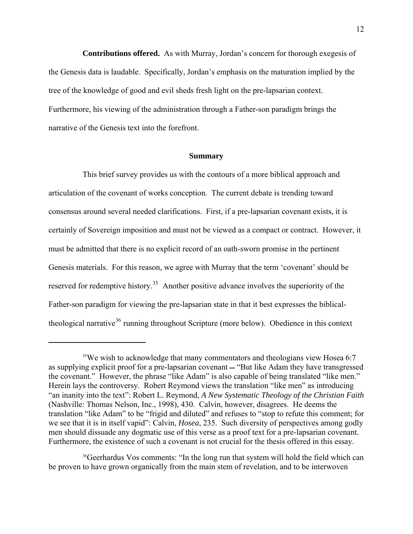**Contributions offered.** As with Murray, Jordan's concern for thorough exegesis of the Genesis data is laudable. Specifically, Jordan's emphasis on the maturation implied by the tree of the knowledge of good and evil sheds fresh light on the pre-lapsarian context. Furthermore, his viewing of the administration through a Father-son paradigm brings the narrative of the Genesis text into the forefront.

#### **Summary**

 This brief survey provides us with the contours of a more biblical approach and articulation of the covenant of works conception. The current debate is trending toward consensus around several needed clarifications. First, if a pre-lapsarian covenant exists, it is certainly of Sovereign imposition and must not be viewed as a compact or contract. However, it must be admitted that there is no explicit record of an oath-sworn promise in the pertinent Genesis materials. For this reason, we agree with Murray that the term 'covenant' should be reserved for redemptive history.<sup>[35](#page-11-0)</sup> Another positive advance involves the superiority of the Father-son paradigm for viewing the pre-lapsarian state in that it best expresses the biblical-theological narrative<sup>[36](#page-11-1)</sup> running throughout Scripture (more below). Obedience in this context

<span id="page-11-0"></span><sup>&</sup>lt;sup>35</sup>We wish to acknowledge that many commentators and theologians view Hosea 6:7 as supplying explicit proof for a pre-lapsarian covenant – "But like Adam they have transgressed the covenant." However, the phrase "like Adam" is also capable of being translated "like men." Herein lays the controversy. Robert Reymond views the translation "like men" as introducing "an inanity into the text": Robert L. Reymond, *A New Systematic Theology of the Christian Faith* (Nashville: Thomas Nelson, Inc., 1998), 430. Calvin, however, disagrees. He deems the translation "like Adam" to be "frigid and diluted" and refuses to "stop to refute this comment; for we see that it is in itself vapid": Calvin, *Hosea*, 235. Such diversity of perspectives among godly men should dissuade any dogmatic use of this verse as a proof text for a pre-lapsarian covenant. Furthermore, the existence of such a covenant is not crucial for the thesis offered in this essay.

<span id="page-11-1"></span><sup>36</sup>Geerhardus Vos comments: "In the long run that system will hold the field which can be proven to have grown organically from the main stem of revelation, and to be interwoven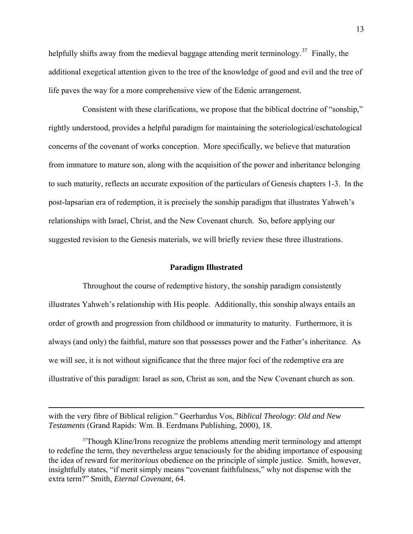helpfully shifts away from the medieval baggage attending merit terminology.<sup>[37](#page-12-0)</sup> Finally, the additional exegetical attention given to the tree of the knowledge of good and evil and the tree of life paves the way for a more comprehensive view of the Edenic arrangement.

 Consistent with these clarifications, we propose that the biblical doctrine of "sonship," rightly understood, provides a helpful paradigm for maintaining the soteriological/eschatological concerns of the covenant of works conception. More specifically, we believe that maturation from immature to mature son, along with the acquisition of the power and inheritance belonging to such maturity, reflects an accurate exposition of the particulars of Genesis chapters 1-3. In the post-lapsarian era of redemption, it is precisely the sonship paradigm that illustrates Yahweh's relationships with Israel, Christ, and the New Covenant church. So, before applying our suggested revision to the Genesis materials, we will briefly review these three illustrations.

## **Paradigm Illustrated**

Throughout the course of redemptive history, the sonship paradigm consistently illustrates Yahweh's relationship with His people. Additionally, this sonship always entails an order of growth and progression from childhood or immaturity to maturity. Furthermore, it is always (and only) the faithful, mature son that possesses power and the Father's inheritance. As we will see, it is not without significance that the three major foci of the redemptive era are illustrative of this paradigm: Israel as son, Christ as son, and the New Covenant church as son.

with the very fibre of Biblical religion." Geerhardus Vos, *Biblical Theology*: *Old and New Testaments* (Grand Rapids: Wm. B. Eerdmans Publishing, 2000), 18.

<span id="page-12-0"></span><sup>&</sup>lt;sup>37</sup>Though Kline/Irons recognize the problems attending merit terminology and attempt to redefine the term, they nevertheless argue tenaciously for the abiding importance of espousing the idea of reward for *meritorious* obedience on the principle of simple justice. Smith, however, insightfully states, "if merit simply means "covenant faithfulness," why not dispense with the extra term?" Smith, *Eternal Covenant*, 64.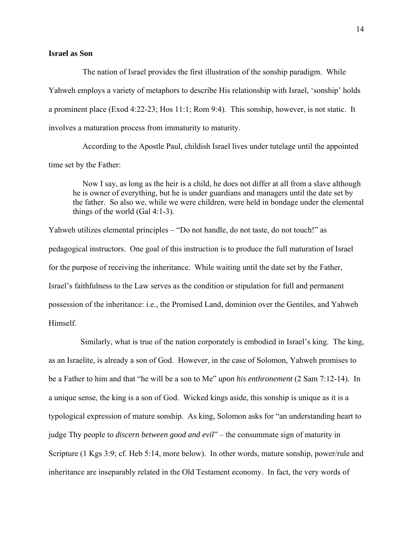### **Israel as Son**

The nation of Israel provides the first illustration of the sonship paradigm. While Yahweh employs a variety of metaphors to describe His relationship with Israel, 'sonship' holds a prominent place (Exod 4:22-23; Hos 11:1; Rom 9:4). This sonship, however, is not static. It involves a maturation process from immaturity to maturity.

According to the Apostle Paul, childish Israel lives under tutelage until the appointed time set by the Father:

Now I say, as long as the heir is a child, he does not differ at all from a slave although he is owner of everything, but he is under guardians and managers until the date set by the father. So also we, while we were children, were held in bondage under the elemental things of the world (Gal 4:1-3).

Yahweh utilizes elemental principles – "Do not handle, do not taste, do not touch!" as pedagogical instructors. One goal of this instruction is to produce the full maturation of Israel for the purpose of receiving the inheritance. While waiting until the date set by the Father, Israel's faithfulness to the Law serves as the condition or stipulation for full and permanent possession of the inheritance: i.e., the Promised Land, dominion over the Gentiles, and Yahweh Himself.

 Similarly, what is true of the nation corporately is embodied in Israel's king. The king, as an Israelite, is already a son of God. However, in the case of Solomon, Yahweh promises to be a Father to him and that "he will be a son to Me" *upon his enthronement* (2 Sam 7:12-14). In a unique sense, the king is a son of God. Wicked kings aside, this sonship is unique as it is a typological expression of mature sonship. As king, Solomon asks for "an understanding heart to judge Thy people to *discern between good and evil*" – the consummate sign of maturity in Scripture (1 Kgs 3:9; cf. Heb 5:14, more below). In other words, mature sonship, power/rule and inheritance are inseparably related in the Old Testament economy. In fact, the very words of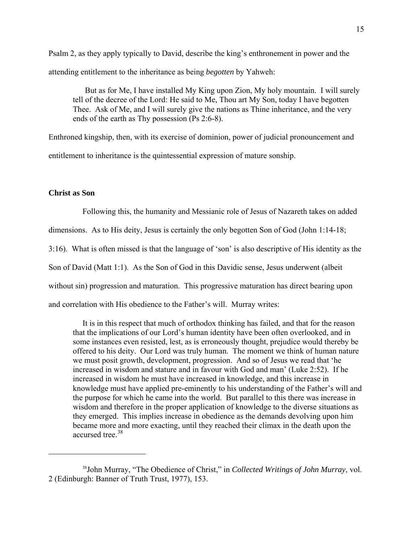Psalm 2, as they apply typically to David, describe the king's enthronement in power and the attending entitlement to the inheritance as being *begotten* by Yahweh:

 But as for Me, I have installed My King upon Zion, My holy mountain. I will surely tell of the decree of the Lord: He said to Me, Thou art My Son, today I have begotten Thee. Ask of Me, and I will surely give the nations as Thine inheritance, and the very ends of the earth as Thy possession (Ps 2:6-8).

Enthroned kingship, then, with its exercise of dominion, power of judicial pronouncement and entitlement to inheritance is the quintessential expression of mature sonship.

# **Christ as Son**

 $\overline{a}$ 

Following this, the humanity and Messianic role of Jesus of Nazareth takes on added

dimensions. As to His deity, Jesus is certainly the only begotten Son of God (John 1:14-18;

3:16). What is often missed is that the language of 'son' is also descriptive of His identity as the

Son of David (Matt 1:1). As the Son of God in this Davidic sense, Jesus underwent (albeit

without sin) progression and maturation. This progressive maturation has direct bearing upon

and correlation with His obedience to the Father's will. Murray writes:

It is in this respect that much of orthodox thinking has failed, and that for the reason that the implications of our Lord's human identity have been often overlooked, and in some instances even resisted, lest, as is erroneously thought, prejudice would thereby be offered to his deity. Our Lord was truly human. The moment we think of human nature we must posit growth, development, progression. And so of Jesus we read that 'he increased in wisdom and stature and in favour with God and man' (Luke 2:52). If he increased in wisdom he must have increased in knowledge, and this increase in knowledge must have applied pre-eminently to his understanding of the Father's will and the purpose for which he came into the world. But parallel to this there was increase in wisdom and therefore in the proper application of knowledge to the diverse situations as they emerged. This implies increase in obedience as the demands devolving upon him became more and more exacting, until they reached their climax in the death upon the accursed tree.<sup>[38](#page-14-0)</sup>

<span id="page-14-0"></span><sup>38</sup>John Murray, "The Obedience of Christ," in *Collected Writings of John Murray*, vol. 2 (Edinburgh: Banner of Truth Trust, 1977), 153.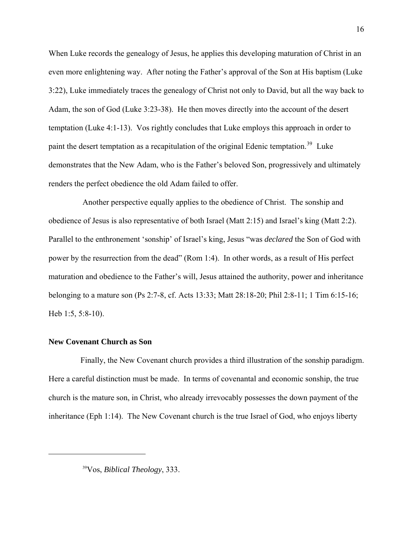When Luke records the genealogy of Jesus, he applies this developing maturation of Christ in an even more enlightening way. After noting the Father's approval of the Son at His baptism (Luke 3:22), Luke immediately traces the genealogy of Christ not only to David, but all the way back to Adam, the son of God (Luke 3:23-38). He then moves directly into the account of the desert temptation (Luke 4:1-13). Vos rightly concludes that Luke employs this approach in order to paint the desert temptation as a recapitulation of the original Edenic temptation.<sup>[39](#page-15-0)</sup> Luke demonstrates that the New Adam, who is the Father's beloved Son, progressively and ultimately renders the perfect obedience the old Adam failed to offer.

 Another perspective equally applies to the obedience of Christ. The sonship and obedience of Jesus is also representative of both Israel (Matt 2:15) and Israel's king (Matt 2:2). Parallel to the enthronement 'sonship' of Israel's king, Jesus "was *declared* the Son of God with power by the resurrection from the dead" (Rom 1:4). In other words, as a result of His perfect maturation and obedience to the Father's will, Jesus attained the authority, power and inheritance belonging to a mature son (Ps 2:7-8, cf. Acts 13:33; Matt 28:18-20; Phil 2:8-11; 1 Tim 6:15-16; Heb 1:5, 5:8-10).

#### **New Covenant Church as Son**

<span id="page-15-0"></span> $\overline{a}$ 

 Finally, the New Covenant church provides a third illustration of the sonship paradigm. Here a careful distinction must be made. In terms of covenantal and economic sonship, the true church is the mature son, in Christ, who already irrevocably possesses the down payment of the inheritance (Eph 1:14). The New Covenant church is the true Israel of God, who enjoys liberty

39Vos, *Biblical Theology*, 333.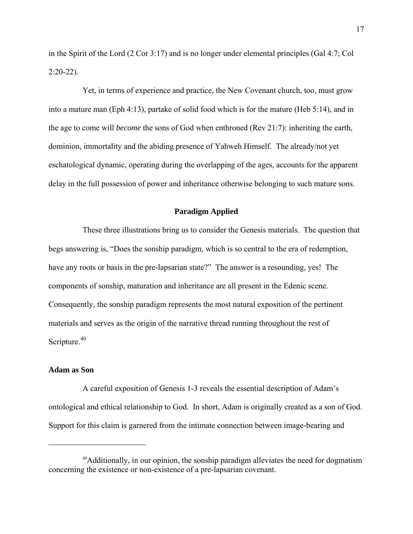in the Spirit of the Lord (2 Cor 3:17) and is no longer under elemental principles (Gal 4:7; Col 2:20-22).

 Yet, in terms of experience and practice, the New Covenant church, too, must grow into a mature man (Eph 4:13), partake of solid food which is for the mature (Heb 5:14), and in the age to come will *become* the sons of God when enthroned (Rev 21:7): inheriting the earth, dominion, immortality and the abiding presence of Yahweh Himself. The already/not yet eschatological dynamic, operating during the overlapping of the ages, accounts for the apparent delay in the full possession of power and inheritance otherwise belonging to such mature sons.

## **Paradigm Applied**

 These three illustrations bring us to consider the Genesis materials. The question that begs answering is, "Does the sonship paradigm, which is so central to the era of redemption, have any roots or basis in the pre-lapsarian state?" The answer is a resounding, yes! The components of sonship, maturation and inheritance are all present in the Edenic scene. Consequently, the sonship paradigm represents the most natural exposition of the pertinent materials and serves as the origin of the narrative thread running throughout the rest of Scripture. $40$ 

#### **Adam as Son**

 $\overline{a}$ 

A careful exposition of Genesis 1-3 reveals the essential description of Adam's ontological and ethical relationship to God. In short, Adam is originally created as a son of God. Support for this claim is garnered from the intimate connection between image-bearing and

<span id="page-16-0"></span><sup>&</sup>lt;sup>40</sup>Additionally, in our opinion, the sonship paradigm alleviates the need for dogmatism concerning the existence or non-existence of a pre-lapsarian covenant.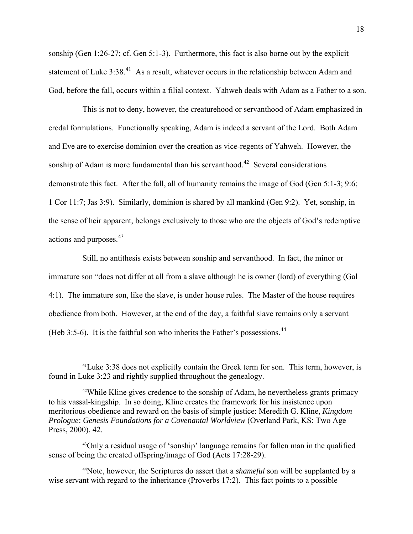sonship (Gen 1:26-27; cf. Gen 5:1-3). Furthermore, this fact is also borne out by the explicit statement of Luke 3:38.<sup>[41](#page-17-0)</sup> As a result, whatever occurs in the relationship between Adam and God, before the fall, occurs within a filial context. Yahweh deals with Adam as a Father to a son.

 This is not to deny, however, the creaturehood or servanthood of Adam emphasized in credal formulations. Functionally speaking, Adam is indeed a servant of the Lord. Both Adam and Eve are to exercise dominion over the creation as vice-regents of Yahweh. However, the sonship of Adam is more fundamental than his servanthood.<sup>[42](#page-17-1)</sup> Several considerations demonstrate this fact. After the fall, all of humanity remains the image of God (Gen 5:1-3; 9:6; 1 Cor 11:7; Jas 3:9). Similarly, dominion is shared by all mankind (Gen 9:2). Yet, sonship, in the sense of heir apparent, belongs exclusively to those who are the objects of God's redemptive actions and purposes.<sup>[43](#page-17-2)</sup>

 Still, no antithesis exists between sonship and servanthood. In fact, the minor or immature son "does not differ at all from a slave although he is owner (lord) of everything (Gal 4:1). The immature son, like the slave, is under house rules. The Master of the house requires obedience from both. However, at the end of the day, a faithful slave remains only a servant (Heb 3:5-6). It is the faithful son who inherits the Father's possessions.<sup>[44](#page-17-3)</sup>

<span id="page-17-0"></span><sup>&</sup>lt;sup>41</sup>Luke 3:38 does not explicitly contain the Greek term for son. This term, however, is found in Luke 3:23 and rightly supplied throughout the genealogy.

<span id="page-17-1"></span><sup>42</sup>While Kline gives credence to the sonship of Adam, he nevertheless grants primacy to his vassal-kingship. In so doing, Kline creates the framework for his insistence upon meritorious obedience and reward on the basis of simple justice: Meredith G. Kline, *Kingdom Prologue*: *Genesis Foundations for a Covenantal Worldview* (Overland Park, KS: Two Age Press, 2000), 42.

<span id="page-17-2"></span><sup>43</sup>Only a residual usage of 'sonship' language remains for fallen man in the qualified sense of being the created offspring/image of God (Acts 17:28-29).

<span id="page-17-3"></span><sup>44</sup>Note, however, the Scriptures do assert that a *shameful* son will be supplanted by a wise servant with regard to the inheritance (Proverbs 17:2). This fact points to a possible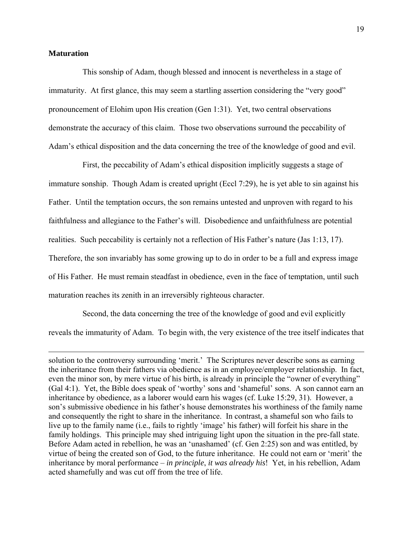## **Maturation**

 $\overline{a}$ 

 This sonship of Adam, though blessed and innocent is nevertheless in a stage of immaturity. At first glance, this may seem a startling assertion considering the "very good" pronouncement of Elohim upon His creation (Gen 1:31). Yet, two central observations demonstrate the accuracy of this claim. Those two observations surround the peccability of Adam's ethical disposition and the data concerning the tree of the knowledge of good and evil.

 First, the peccability of Adam's ethical disposition implicitly suggests a stage of immature sonship. Though Adam is created upright (Eccl 7:29), he is yet able to sin against his Father. Until the temptation occurs, the son remains untested and unproven with regard to his faithfulness and allegiance to the Father's will. Disobedience and unfaithfulness are potential realities. Such peccability is certainly not a reflection of His Father's nature (Jas 1:13, 17). Therefore, the son invariably has some growing up to do in order to be a full and express image of His Father. He must remain steadfast in obedience, even in the face of temptation, until such maturation reaches its zenith in an irreversibly righteous character.

 Second, the data concerning the tree of the knowledge of good and evil explicitly reveals the immaturity of Adam. To begin with, the very existence of the tree itself indicates that

solution to the controversy surrounding 'merit.' The Scriptures never describe sons as earning the inheritance from their fathers via obedience as in an employee/employer relationship. In fact, even the minor son, by mere virtue of his birth, is already in principle the "owner of everything" (Gal 4:1). Yet, the Bible does speak of 'worthy' sons and 'shameful' sons. A son cannot earn an inheritance by obedience, as a laborer would earn his wages (cf. Luke 15:29, 31). However, a son's submissive obedience in his father's house demonstrates his worthiness of the family name and consequently the right to share in the inheritance. In contrast, a shameful son who fails to live up to the family name (i.e., fails to rightly 'image' his father) will forfeit his share in the family holdings. This principle may shed intriguing light upon the situation in the pre-fall state. Before Adam acted in rebellion, he was an 'unashamed' (cf. Gen 2:25) son and was entitled, by virtue of being the created son of God, to the future inheritance. He could not earn or 'merit' the inheritance by moral performance – *in principle*, *it was already his*! Yet, in his rebellion, Adam acted shamefully and was cut off from the tree of life.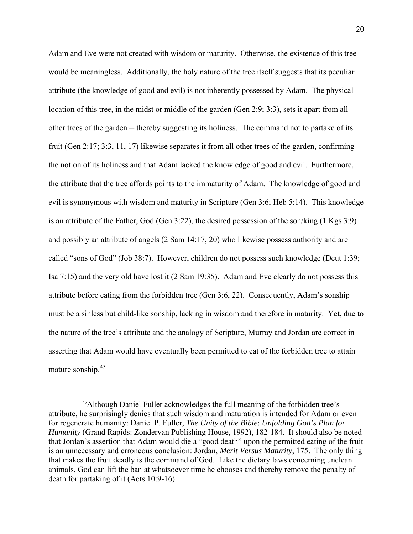Adam and Eve were not created with wisdom or maturity. Otherwise, the existence of this tree would be meaningless. Additionally, the holy nature of the tree itself suggests that its peculiar attribute (the knowledge of good and evil) is not inherently possessed by Adam. The physical location of this tree, in the midst or middle of the garden (Gen 2:9; 3:3), sets it apart from all other trees of the garden — thereby suggesting its holiness. The command not to partake of its fruit (Gen 2:17; 3:3, 11, 17) likewise separates it from all other trees of the garden, confirming the notion of its holiness and that Adam lacked the knowledge of good and evil. Furthermore, the attribute that the tree affords points to the immaturity of Adam. The knowledge of good and evil is synonymous with wisdom and maturity in Scripture (Gen 3:6; Heb 5:14). This knowledge is an attribute of the Father, God (Gen 3:22), the desired possession of the son/king (1 Kgs 3:9) and possibly an attribute of angels (2 Sam 14:17, 20) who likewise possess authority and are called "sons of God" (Job 38:7). However, children do not possess such knowledge (Deut 1:39; Isa 7:15) and the very old have lost it (2 Sam 19:35). Adam and Eve clearly do not possess this attribute before eating from the forbidden tree (Gen 3:6, 22). Consequently, Adam's sonship must be a sinless but child-like sonship, lacking in wisdom and therefore in maturity. Yet, due to the nature of the tree's attribute and the analogy of Scripture, Murray and Jordan are correct in asserting that Adam would have eventually been permitted to eat of the forbidden tree to attain mature sonship.<sup>[45](#page-19-0)</sup>

<span id="page-19-0"></span><sup>45</sup>Although Daniel Fuller acknowledges the full meaning of the forbidden tree's attribute, he surprisingly denies that such wisdom and maturation is intended for Adam or even for regenerate humanity: Daniel P. Fuller, *The Unity of the Bible*: *Unfolding God's Plan for Humanity* (Grand Rapids: Zondervan Publishing House, 1992), 182-184. It should also be noted that Jordan's assertion that Adam would die a "good death" upon the permitted eating of the fruit is an unnecessary and erroneous conclusion: Jordan, *Merit Versus Maturity*, 175. The only thing that makes the fruit deadly is the command of God. Like the dietary laws concerning unclean animals, God can lift the ban at whatsoever time he chooses and thereby remove the penalty of death for partaking of it (Acts 10:9-16).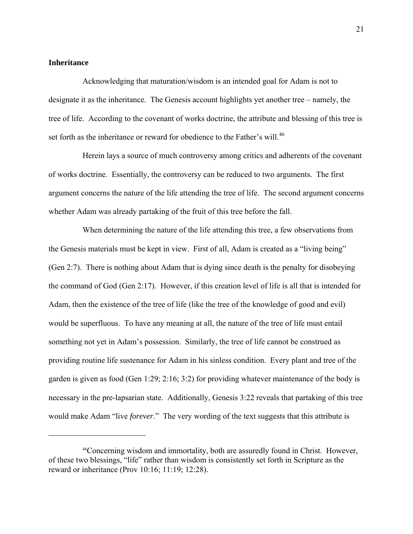## **Inheritance**

 $\overline{a}$ 

Acknowledging that maturation/wisdom is an intended goal for Adam is not to designate it as the inheritance. The Genesis account highlights yet another tree – namely, the tree of life. According to the covenant of works doctrine, the attribute and blessing of this tree is set forth as the inheritance or reward for obedience to the Father's will.<sup>[46](#page-20-0)</sup>

 Herein lays a source of much controversy among critics and adherents of the covenant of works doctrine. Essentially, the controversy can be reduced to two arguments. The first argument concerns the nature of the life attending the tree of life. The second argument concerns whether Adam was already partaking of the fruit of this tree before the fall.

 When determining the nature of the life attending this tree, a few observations from the Genesis materials must be kept in view. First of all, Adam is created as a "living being" (Gen 2:7). There is nothing about Adam that is dying since death is the penalty for disobeying the command of God (Gen 2:17). However, if this creation level of life is all that is intended for Adam, then the existence of the tree of life (like the tree of the knowledge of good and evil) would be superfluous. To have any meaning at all, the nature of the tree of life must entail something not yet in Adam's possession. Similarly, the tree of life cannot be construed as providing routine life sustenance for Adam in his sinless condition. Every plant and tree of the garden is given as food (Gen 1:29; 2:16; 3:2) for providing whatever maintenance of the body is necessary in the pre-lapsarian state. Additionally, Genesis 3:22 reveals that partaking of this tree would make Adam "live *forever*." The very wording of the text suggests that this attribute is

<span id="page-20-0"></span><sup>46</sup>Concerning wisdom and immortality, both are assuredly found in Christ. However, of these two blessings, "life" rather than wisdom is consistently set forth in Scripture as the reward or inheritance (Prov 10:16; 11:19; 12:28).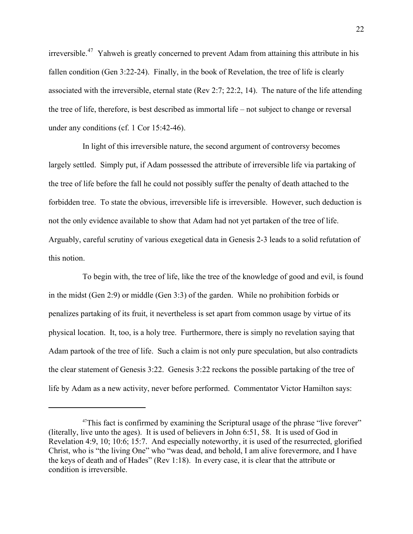irreversible.[47](#page-21-0) Yahweh is greatly concerned to prevent Adam from attaining this attribute in his fallen condition (Gen 3:22-24). Finally, in the book of Revelation, the tree of life is clearly associated with the irreversible, eternal state (Rev 2:7; 22:2, 14). The nature of the life attending the tree of life, therefore, is best described as immortal life – not subject to change or reversal under any conditions (cf. 1 Cor 15:42-46).

 In light of this irreversible nature, the second argument of controversy becomes largely settled. Simply put, if Adam possessed the attribute of irreversible life via partaking of the tree of life before the fall he could not possibly suffer the penalty of death attached to the forbidden tree. To state the obvious, irreversible life is irreversible. However, such deduction is not the only evidence available to show that Adam had not yet partaken of the tree of life. Arguably, careful scrutiny of various exegetical data in Genesis 2-3 leads to a solid refutation of this notion.

 To begin with, the tree of life, like the tree of the knowledge of good and evil, is found in the midst (Gen 2:9) or middle (Gen 3:3) of the garden. While no prohibition forbids or penalizes partaking of its fruit, it nevertheless is set apart from common usage by virtue of its physical location. It, too, is a holy tree. Furthermore, there is simply no revelation saying that Adam partook of the tree of life. Such a claim is not only pure speculation, but also contradicts the clear statement of Genesis 3:22. Genesis 3:22 reckons the possible partaking of the tree of life by Adam as a new activity, never before performed. Commentator Victor Hamilton says:

<span id="page-21-0"></span><sup>&</sup>lt;sup>47</sup>This fact is confirmed by examining the Scriptural usage of the phrase "live forever" (literally, live unto the ages). It is used of believers in John 6:51, 58. It is used of God in Revelation 4:9, 10; 10:6; 15:7. And especially noteworthy, it is used of the resurrected, glorified Christ, who is "the living One" who "was dead, and behold, I am alive forevermore, and I have the keys of death and of Hades" (Rev 1:18). In every case, it is clear that the attribute or condition is irreversible.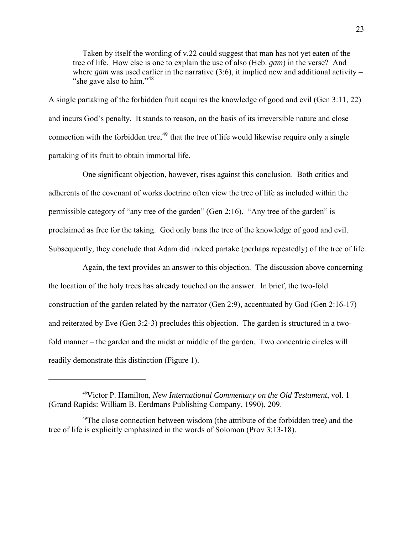Taken by itself the wording of v.22 could suggest that man has not yet eaten of the tree of life. How else is one to explain the use of also (Heb. *gam*) in the verse? And where *gam* was used earlier in the narrative  $(3.6)$ , it implied new and additional activity – "she gave also to him."<sup>[48](#page-22-0)</sup>

A single partaking of the forbidden fruit acquires the knowledge of good and evil (Gen 3:11, 22) and incurs God's penalty. It stands to reason, on the basis of its irreversible nature and close connection with the forbidden tree,  $49$  that the tree of life would likewise require only a single partaking of its fruit to obtain immortal life.

 One significant objection, however, rises against this conclusion. Both critics and adherents of the covenant of works doctrine often view the tree of life as included within the permissible category of "any tree of the garden" (Gen 2:16). "Any tree of the garden" is proclaimed as free for the taking. God only bans the tree of the knowledge of good and evil. Subsequently, they conclude that Adam did indeed partake (perhaps repeatedly) of the tree of life.

 Again, the text provides an answer to this objection. The discussion above concerning the location of the holy trees has already touched on the answer. In brief, the two-fold construction of the garden related by the narrator (Gen 2:9), accentuated by God (Gen 2:16-17) and reiterated by Eve (Gen 3:2-3) precludes this objection. The garden is structured in a twofold manner – the garden and the midst or middle of the garden. Two concentric circles will readily demonstrate this distinction (Figure 1).

<span id="page-22-0"></span><sup>48</sup>Victor P. Hamilton, *New International Commentary on the Old Testament*, vol. 1 (Grand Rapids: William B. Eerdmans Publishing Company, 1990), 209.

<span id="page-22-1"></span><sup>&</sup>lt;sup>49</sup>The close connection between wisdom (the attribute of the forbidden tree) and the tree of life is explicitly emphasized in the words of Solomon (Prov 3:13-18).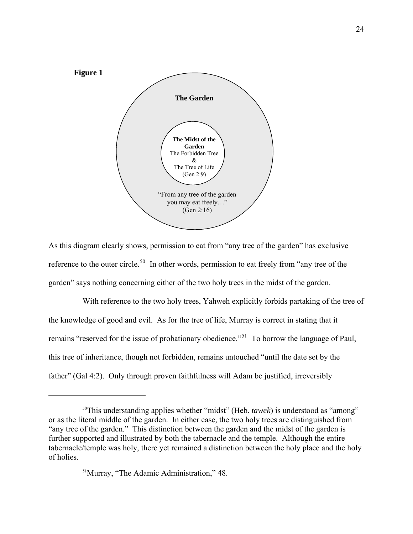

As this diagram clearly shows, permission to eat from "any tree of the garden" has exclusive reference to the outer circle.<sup>[50](#page-23-0)</sup> In other words, permission to eat freely from "any tree of the garden" says nothing concerning either of the two holy trees in the midst of the garden.

 With reference to the two holy trees, Yahweh explicitly forbids partaking of the tree of the knowledge of good and evil. As for the tree of life, Murray is correct in stating that it remains "reserved for the issue of probationary obedience."<sup>[51](#page-23-1)</sup> To borrow the language of Paul, this tree of inheritance, though not forbidden, remains untouched "until the date set by the father" (Gal 4:2). Only through proven faithfulness will Adam be justified, irreversibly

<span id="page-23-1"></span><span id="page-23-0"></span><sup>50</sup>This understanding applies whether "midst" (Heb. *tawek*) is understood as "among" or as the literal middle of the garden. In either case, the two holy trees are distinguished from "any tree of the garden." This distinction between the garden and the midst of the garden is further supported and illustrated by both the tabernacle and the temple. Although the entire tabernacle/temple was holy, there yet remained a distinction between the holy place and the holy of holies.

<sup>51</sup>Murray, "The Adamic Administration," 48.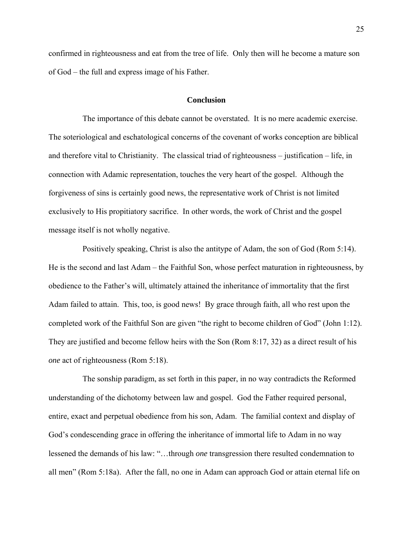confirmed in righteousness and eat from the tree of life. Only then will he become a mature son of God – the full and express image of his Father.

### **Conclusion**

 The importance of this debate cannot be overstated. It is no mere academic exercise. The soteriological and eschatological concerns of the covenant of works conception are biblical and therefore vital to Christianity. The classical triad of righteousness – justification – life, in connection with Adamic representation, touches the very heart of the gospel. Although the forgiveness of sins is certainly good news, the representative work of Christ is not limited exclusively to His propitiatory sacrifice. In other words, the work of Christ and the gospel message itself is not wholly negative.

 Positively speaking, Christ is also the antitype of Adam, the son of God (Rom 5:14). He is the second and last Adam – the Faithful Son, whose perfect maturation in righteousness, by obedience to the Father's will, ultimately attained the inheritance of immortality that the first Adam failed to attain. This, too, is good news! By grace through faith, all who rest upon the completed work of the Faithful Son are given "the right to become children of God" (John 1:12). They are justified and become fellow heirs with the Son (Rom 8:17, 32) as a direct result of his *one* act of righteousness (Rom 5:18).

 The sonship paradigm, as set forth in this paper, in no way contradicts the Reformed understanding of the dichotomy between law and gospel. God the Father required personal, entire, exact and perpetual obedience from his son, Adam. The familial context and display of God's condescending grace in offering the inheritance of immortal life to Adam in no way lessened the demands of his law: "…through *one* transgression there resulted condemnation to all men" (Rom 5:18a). After the fall, no one in Adam can approach God or attain eternal life on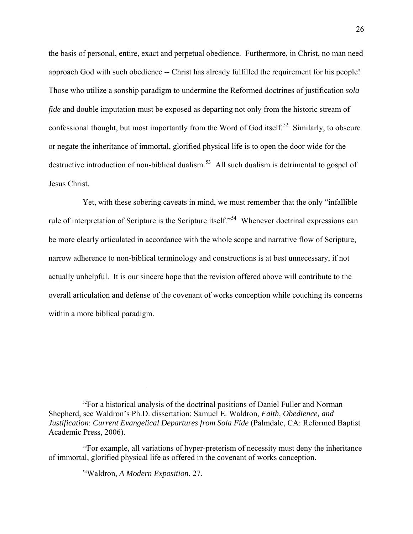the basis of personal, entire, exact and perpetual obedience. Furthermore, in Christ, no man need approach God with such obedience -- Christ has already fulfilled the requirement for his people! Those who utilize a sonship paradigm to undermine the Reformed doctrines of justification *sola fide* and double imputation must be exposed as departing not only from the historic stream of confessional thought, but most importantly from the Word of God itself.<sup>[52](#page-25-0)</sup> Similarly, to obscure or negate the inheritance of immortal, glorified physical life is to open the door wide for the destructive introduction of non-biblical dualism.<sup>[53](#page-25-1)</sup> All such dualism is detrimental to gospel of Jesus Christ.

 Yet, with these sobering caveats in mind, we must remember that the only "infallible rule of interpretation of Scripture is the Scripture itself."[54](#page-25-2) Whenever doctrinal expressions can be more clearly articulated in accordance with the whole scope and narrative flow of Scripture, narrow adherence to non-biblical terminology and constructions is at best unnecessary, if not actually unhelpful. It is our sincere hope that the revision offered above will contribute to the overall articulation and defense of the covenant of works conception while couching its concerns within a more biblical paradigm.

54Waldron, *A Modern Exposition*, 27.

<span id="page-25-0"></span><sup>&</sup>lt;sup>52</sup>For a historical analysis of the doctrinal positions of Daniel Fuller and Norman Shepherd, see Waldron's Ph.D. dissertation: Samuel E. Waldron, *Faith, Obedience, and Justification*: *Current Evangelical Departures from Sola Fide* (Palmdale, CA: Reformed Baptist Academic Press, 2006).

<span id="page-25-2"></span><span id="page-25-1"></span> $53$ For example, all variations of hyper-preterism of necessity must deny the inheritance of immortal, glorified physical life as offered in the covenant of works conception.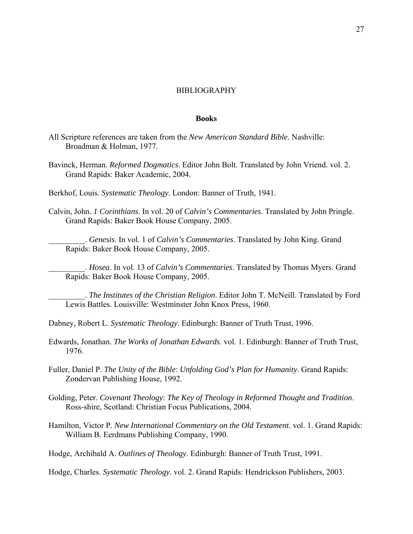### BIBLIOGRAPHY

#### **Books**

- All Scripture references are taken from the *New American Standard Bible.* Nashville: Broadman & Holman, 1977.
- Bavinck, Herman. *Reformed Dogmatics*. Editor John Bolt. Translated by John Vriend. vol. 2. Grand Rapids: Baker Academic, 2004.
- Berkhof, Louis. *Systematic Theology*. London: Banner of Truth, 1941.
- Calvin, John. *1 Corinthians*. In vol. 20 of *Calvin's Commentaries*. Translated by John Pringle. Grand Rapids: Baker Book House Company, 2005.

\_\_\_\_\_\_\_\_\_. *Genesis*. In vol. 1 of *Calvin's Commentaries*. Translated by John King. Grand Rapids: Baker Book House Company, 2005.

\_\_\_\_\_\_\_\_\_. *Hosea*. In vol. 13 of *Calvin's Commentaries*. Translated by Thomas Myers. Grand Rapids: Baker Book House Company, 2005.

\_\_\_\_\_\_\_\_\_. *The Institutes of the Christian Religion*. Editor John T. McNeill. Translated by Ford Lewis Battles. Louisville: Westminster John Knox Press, 1960.

Dabney, Robert L. *Systematic Theology*. Edinburgh: Banner of Truth Trust, 1996.

Edwards, Jonathan. *The Works of Jonathan Edwards*. vol. 1. Edinburgh: Banner of Truth Trust, 1976.

Fuller, Daniel P. *The Unity of the Bible*: *Unfolding God's Plan for Humanity*. Grand Rapids: Zondervan Publishing House, 1992.

- Golding, Peter. *Covenant Theology*: *The Key of Theology in Reformed Thought and Tradition*. Ross-shire, Scotland: Christian Focus Publications, 2004.
- Hamilton, Victor P*. New International Commentary on the Old Testament*. vol. 1. Grand Rapids: William B. Eerdmans Publishing Company, 1990.

Hodge, Archibald A. *Outlines of Theology*. Edinburgh: Banner of Truth Trust, 1991.

Hodge, Charles. *Systematic Theology*. vol. 2. Grand Rapids: Hendrickson Publishers, 2003.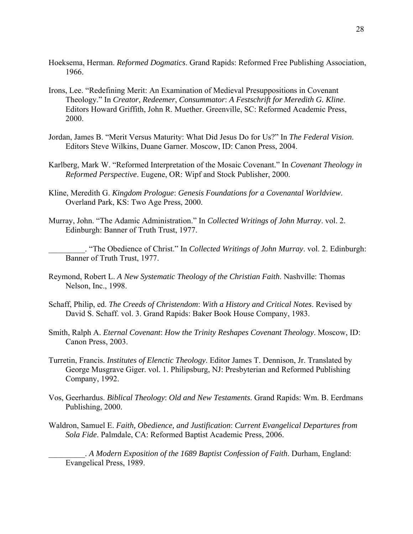- Hoeksema, Herman. *Reformed Dogmatics*. Grand Rapids: Reformed Free Publishing Association, 1966.
- Irons, Lee. "Redefining Merit: An Examination of Medieval Presuppositions in Covenant Theology." In *Creator*, *Redeemer*, *Consummator*: *A Festschrift for Meredith G. Kline*. Editors Howard Griffith, John R. Muether. Greenville, SC: Reformed Academic Press, 2000.
- Jordan, James B. "Merit Versus Maturity: What Did Jesus Do for Us?" In *The Federal Vision*. Editors Steve Wilkins, Duane Garner. Moscow, ID: Canon Press, 2004.
- Karlberg, Mark W. "Reformed Interpretation of the Mosaic Covenant." In *Covenant Theology in Reformed Perspective*. Eugene, OR: Wipf and Stock Publisher, 2000.
- Kline, Meredith G. *Kingdom Prologue*: *Genesis Foundations for a Covenantal Worldview*. Overland Park, KS: Two Age Press, 2000.
- Murray, John. "The Adamic Administration." In *Collected Writings of John Murray*. vol. 2. Edinburgh: Banner of Truth Trust, 1977.
	- \_\_\_\_\_\_\_\_\_. "The Obedience of Christ." In *Collected Writings of John Murray*. vol. 2. Edinburgh: Banner of Truth Trust, 1977.
- Reymond, Robert L. *A New Systematic Theology of the Christian Faith*. Nashville: Thomas Nelson, Inc., 1998.
- Schaff, Philip, ed. *The Creeds of Christendom*: *With a History and Critical Notes*. Revised by David S. Schaff. vol. 3. Grand Rapids: Baker Book House Company, 1983.
- Smith, Ralph A. *Eternal Covenant*: *How the Trinity Reshapes Covenant Theology*. Moscow, ID: Canon Press, 2003.
- Turretin, Francis. *Institutes of Elenctic Theology*. Editor James T. Dennison, Jr. Translated by George Musgrave Giger. vol. 1. Philipsburg, NJ: Presbyterian and Reformed Publishing Company, 1992.
- Vos, Geerhardus. *Biblical Theology*: *Old and New Testaments*. Grand Rapids: Wm. B. Eerdmans Publishing, 2000.
- Waldron, Samuel E. *Faith, Obedience, and Justification*: *Current Evangelical Departures from Sola Fide*. Palmdale, CA: Reformed Baptist Academic Press, 2006.

\_\_\_\_\_\_\_\_\_. *A Modern Exposition of the 1689 Baptist Confession of Faith*. Durham, England: Evangelical Press, 1989.